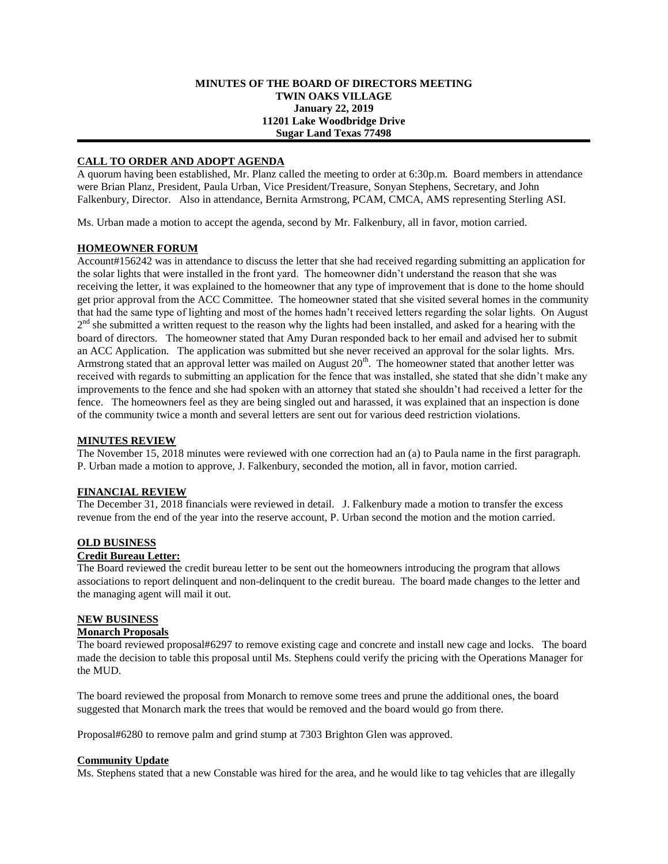## **MINUTES OF THE BOARD OF DIRECTORS MEETING TWIN OAKS VILLAGE January 22, 2019 11201 Lake Woodbridge Drive Sugar Land Texas 77498**

# **CALL TO ORDER AND ADOPT AGENDA**

A quorum having been established, Mr. Planz called the meeting to order at 6:30p.m. Board members in attendance were Brian Planz, President, Paula Urban, Vice President/Treasure, Sonyan Stephens, Secretary, and John Falkenbury, Director. Also in attendance, Bernita Armstrong, PCAM, CMCA, AMS representing Sterling ASI.

Ms. Urban made a motion to accept the agenda, second by Mr. Falkenbury, all in favor, motion carried.

## **HOMEOWNER FORUM**

Account#156242 was in attendance to discuss the letter that she had received regarding submitting an application for the solar lights that were installed in the front yard. The homeowner didn't understand the reason that she was receiving the letter, it was explained to the homeowner that any type of improvement that is done to the home should get prior approval from the ACC Committee. The homeowner stated that she visited several homes in the community that had the same type of lighting and most of the homes hadn't received letters regarding the solar lights. On August 2<sup>nd</sup> she submitted a written request to the reason why the lights had been installed, and asked for a hearing with the board of directors. The homeowner stated that Amy Duran responded back to her email and advised her to submit an ACC Application. The application was submitted but she never received an approval for the solar lights. Mrs. Armstrong stated that an approval letter was mailed on August  $20<sup>th</sup>$ . The homeowner stated that another letter was received with regards to submitting an application for the fence that was installed, she stated that she didn't make any improvements to the fence and she had spoken with an attorney that stated she shouldn't had received a letter for the fence. The homeowners feel as they are being singled out and harassed, it was explained that an inspection is done of the community twice a month and several letters are sent out for various deed restriction violations.

### **MINUTES REVIEW**

The November 15, 2018 minutes were reviewed with one correction had an (a) to Paula name in the first paragraph. P. Urban made a motion to approve, J. Falkenbury, seconded the motion, all in favor, motion carried.

### **FINANCIAL REVIEW**

The December 31, 2018 financials were reviewed in detail. J. Falkenbury made a motion to transfer the excess revenue from the end of the year into the reserve account, P. Urban second the motion and the motion carried.

# **OLD BUSINESS**

#### **Credit Bureau Letter:**

The Board reviewed the credit bureau letter to be sent out the homeowners introducing the program that allows associations to report delinquent and non-delinquent to the credit bureau. The board made changes to the letter and the managing agent will mail it out.

#### **NEW BUSINESS**

## **Monarch Proposals**

The board reviewed proposal#6297 to remove existing cage and concrete and install new cage and locks. The board made the decision to table this proposal until Ms. Stephens could verify the pricing with the Operations Manager for the MUD.

The board reviewed the proposal from Monarch to remove some trees and prune the additional ones, the board suggested that Monarch mark the trees that would be removed and the board would go from there.

Proposal#6280 to remove palm and grind stump at 7303 Brighton Glen was approved.

### **Community Update**

Ms. Stephens stated that a new Constable was hired for the area, and he would like to tag vehicles that are illegally